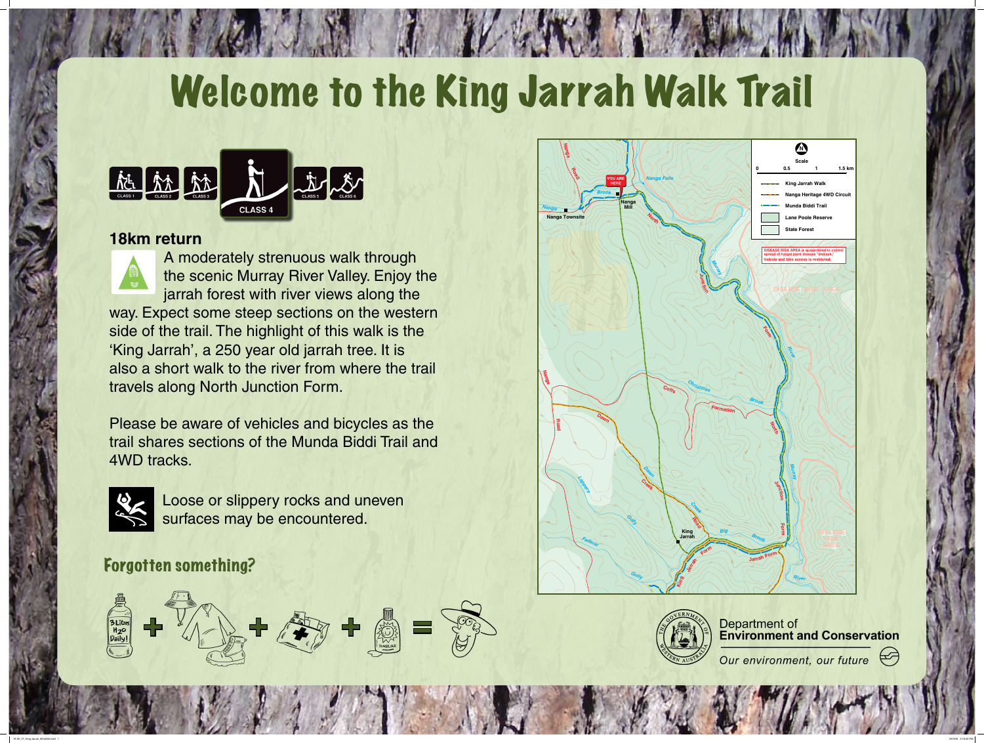

## Forgotten something?

# Welcome to the King Jarrah Walk Trail



### **18km return**



A moderately strenuous walk through the scenic Murray River Valley. Enjoy the jarrah forest with river views along the way. Expect some steep sections on the western also a short walk to the river from where the trail

side of the trail. The highlight of this walk is the 'King Jarrah', a 250 year old jarrah tree. It is travels along North Junction Form.

Please be aware of vehicles and bicycles as the trail shares sections of the Munda Biddi Trail and 4WD tracks.



Loose or slippery rocks and uneven surfaces may be encountered.





**Department of<br>Environment and Conservation** 

Our environment, our future